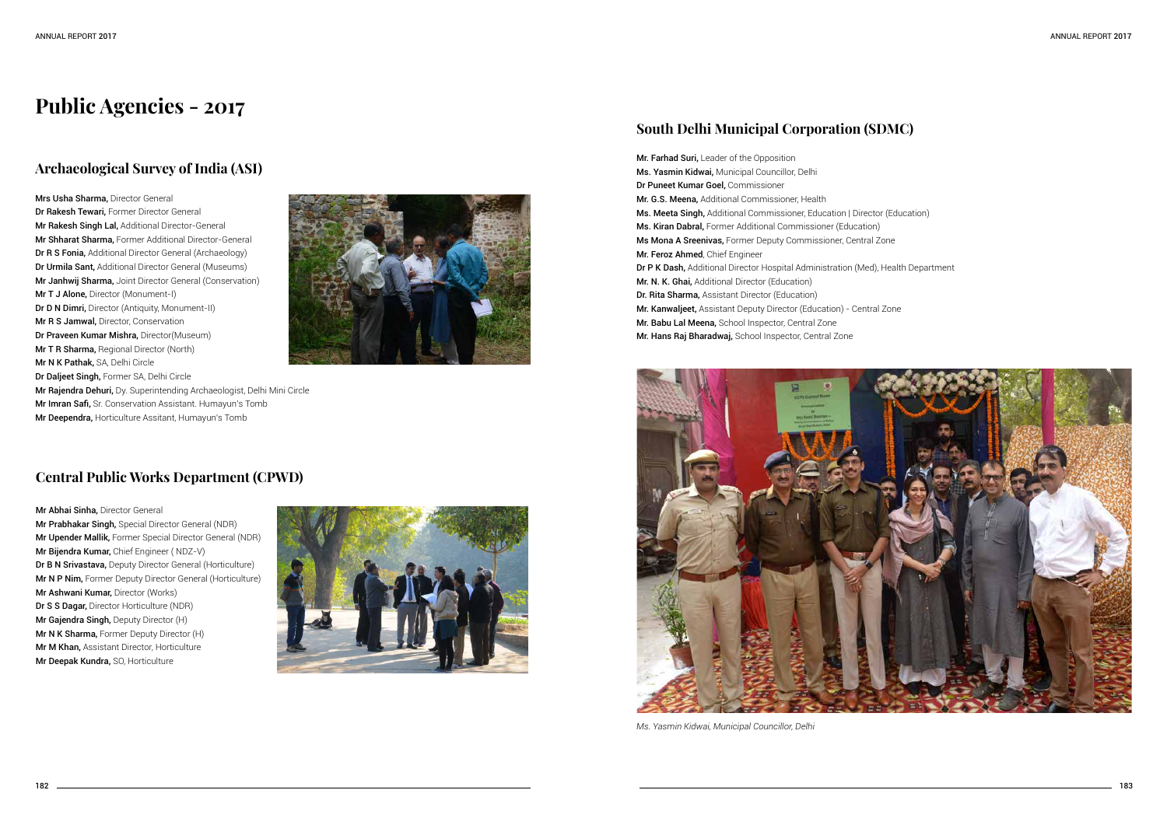### **Archaeological Survey of India (ASI)**

Mrs Usha Sharma, Director General Dr Rakesh Tewari, Former Director General Mr Rakesh Singh Lal, Additional Director-General Mr Shharat Sharma, Former Additional Director-General Dr R S Fonia, Additional Director General (Archaeology) Dr Urmila Sant, Additional Director General (Museums) Mr Janhwij Sharma, Joint Director General (Conservation) Mr T J Alone, Director (Monument-I) Dr D N Dimri, Director (Antiquity, Monument-II) Mr R S Jamwal, Director, Conservation Dr Praveen Kumar Mishra, Director(Museum) Mr T R Sharma, Regional Director (North) Mr N K Pathak, SA, Delhi Circle Dr Daljeet Singh, Former SA, Delhi Circle Mr Rajendra Dehuri, Dy. Superintending Archaeologist, Delhi Mini Circle Mr Imran Safi, Sr. Conservation Assistant. Humayun's Tomb



Mr Deependra, Horticulture Assitant, Humayun's Tomb

# **Public Agencies - 2017**

#### **Central Public Works Department (CPWD)**

Mr Abhai Sinha, Director General Mr Prabhakar Singh, Special Director General (NDR) Mr Upender Mallik, Former Special Director General (NDR) Mr Bijendra Kumar, Chief Engineer ( NDZ-V) Dr B N Srivastava, Deputy Director General (Horticulture) Mr N P Nim, Former Deputy Director General (Horticulture) Mr Ashwani Kumar, Director (Works) Dr S S Dagar, Director Horticulture (NDR) Mr Gajendra Singh, Deputy Director (H) Mr N K Sharma, Former Deputy Director (H) **Mr M Khan, Assistant Director, Horticulture** Mr Deepak Kundra, SO, Horticulture



## **South Delhi Municipal Corporation (SDMC)**

Mr. Farhad Suri, Leader of the Opposition Ms. Yasmin Kidwai, Municipal Councillor, Delhi Dr Puneet Kumar Goel, Commissioner Mr. G.S. Meena, Additional Commissioner, Health Ms. Meeta Singh, Additional Commissioner, Education | Director (Education) Ms. Kiran Dabral, Former Additional Commissioner (Education) Ms Mona A Sreenivas, Former Deputy Commissioner, Central Zone Mr. Feroz Ahmed, Chief Engineer Dr P K Dash, Additional Director Hospital Administration (Med), Health Department Mr. N. K. Ghai, Additional Director (Education) Dr. Rita Sharma, Assistant Director (Education) Mr. Kanwaljeet, Assistant Deputy Director (Education) - Central Zone Mr. Babu Lal Meena, School Inspector, Central Zone Mr. Hans Raj Bharadwaj, School Inspector, Central Zone



*Ms. Yasmin Kidwai, Municipal Councillor, Delhi*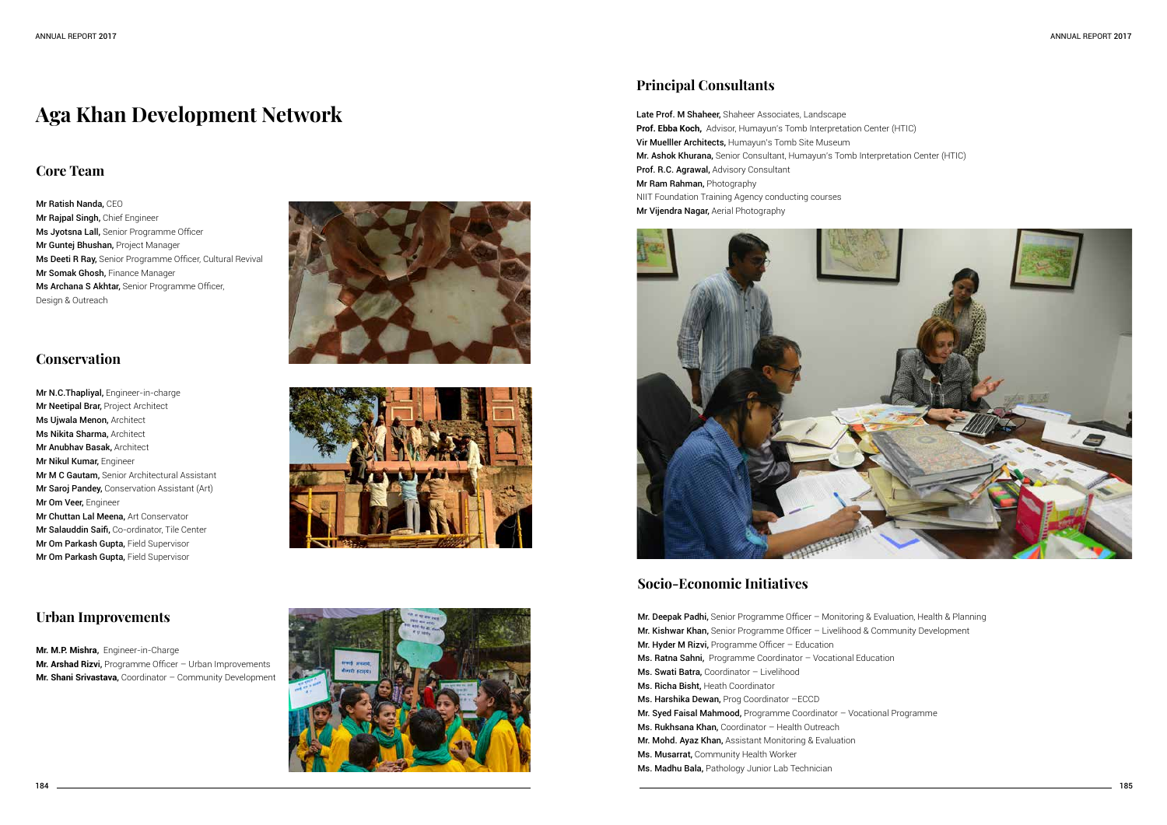#### **Core Team**

Mr Ratish Nanda, CEO Mr Rajpal Singh, Chief Engineer Ms Jyotsna Lall, Senior Programme Officer Mr Guntej Bhushan, Project Manager Ms Deeti R Ray, Senior Programme Officer, Cultural Revival Mr Somak Ghosh, Finance Manager Ms Archana S Akhtar, Senior Programme Officer, Design & Outreach

#### **Conservation**

Mr N.C.Thapliyal, Engineer-in-charge Mr Neetipal Brar, Project Architect Ms Ujwala Menon, Architect Ms Nikita Sharma, Architect Mr Anubhav Basak, Architect Mr Nikul Kumar, Engineer Mr M C Gautam, Senior Architectural Assistant Mr Saroj Pandey, Conservation Assistant (Art) Mr Om Veer, Engineer Mr Chuttan Lal Meena, Art Conservator Mr Salauddin Saifi, Co-ordinator, Tile Center Mr Om Parkash Gupta, Field Supervisor Mr Om Parkash Gupta, Field Supervisor





Late Prof. M Shaheer, Shaheer Associates, Landscape **Prof. Ebba Koch,** Advisor, Humayun's Tomb Interpretation Center (HTIC) Vir Muelller Architects, Humayun's Tomb Site Museum Mr. Ashok Khurana, Senior Consultant, Humayun's Tomb Interpretation Center (HTIC) Prof. R.C. Agrawal, Advisory Consultant Mr Ram Rahman, Photography NIIT Foundation Training Agency conducting courses Mr Vijendra Nagar, Aerial Photography



# **Aga Khan Development Network**

#### **Urban Improvements**

**Mr. M.P. Mishra**, Engineer-in-Charge **Mr. Arshad Rizv**i, Programme Officer – Urban Improvements **Mr. Shani Srivastava**, Coordinator – Community Development



## **Principal Consultants**

## **Socio-Economic Initiatives**

Mr. Deepak Padhi, Senior Programme Officer – Monitoring & Evaluation, Health & Planning Mr. Kishwar Khan, Senior Programme Officer – Livelihood & Community Development Mr. Hyder M Rizvi, Programme Officer - Education Ms. Ratna Sahni, Programme Coordinator – Vocational Education Ms. Swati Batra, Coordinator – Livelihood Ms. Richa Bisht, Heath Coordinator Ms. Harshika Dewan, Prog Coordinator –ECCD Mr. Syed Faisal Mahmood, Programme Coordinator – Vocational Programme Ms. Rukhsana Khan, Coordinator - Health Outreach Mr. Mohd. Ayaz Khan, Assistant Monitoring & Evaluation Ms. Musarrat, Community Health Worker Ms. Madhu Bala, Pathology Junior Lab Technician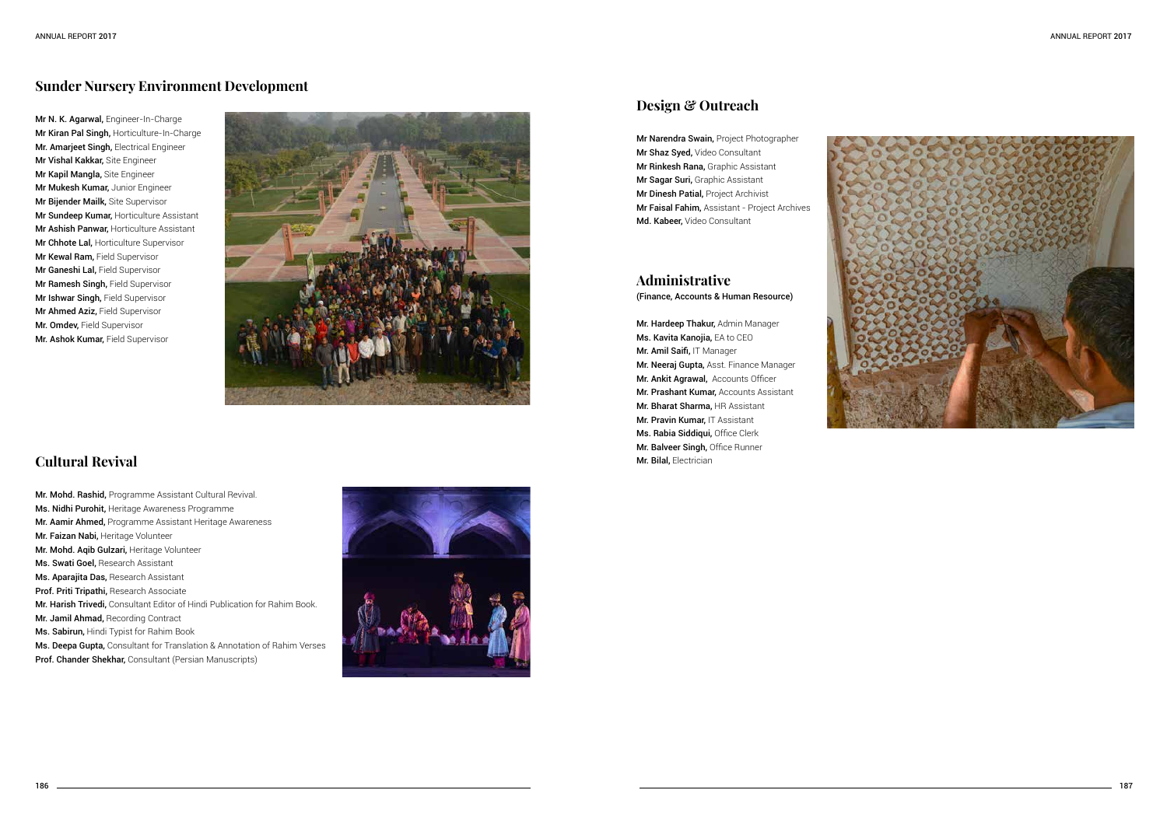

### **Sunder Nursery Environment Development**

Mr N. K. Agarwal, Engineer-In-Charge Mr Kiran Pal Singh, Horticulture-In-Charge Mr. Amarjeet Singh, Electrical Engineer Mr Vishal Kakkar, Site Engineer Mr Kapil Mangla, Site Engineer Mr Mukesh Kumar, Junior Engineer Mr Bijender Mailk, Site Supervisor Mr Sundeep Kumar, Horticulture Assistant Mr Ashish Panwar, Horticulture Assistant **Mr Chhote Lal, Horticulture Supervisor** Mr Kewal Ram, Field Supervisor Mr Ganeshi Lal, Field Supervisor Mr Ramesh Singh, Field Supervisor Mr Ishwar Singh, Field Supervisor Mr Ahmed Aziz, Field Supervisor Mr. Omdev, Field Supervisor Mr. Ashok Kumar, Field Supervisor



Mr. Mohd. Rashid, Programme Assistant Cultural Revival. Ms. Nidhi Purohit, Heritage Awareness Programme Mr. Aamir Ahmed, Programme Assistant Heritage Awareness Mr. Faizan Nabi, Heritage Volunteer Mr. Mohd. Aqib Gulzari, Heritage Volunteer Ms. Swati Goel, Research Assistant Ms. Aparajita Das, Research Assistant Prof. Priti Tripathi, Research Associate Mr. Harish Trivedi, Consultant Editor of Hindi Publication for Rahim Book. Mr. Jamil Ahmad, Recording Contract Ms. Sabirun, Hindi Typist for Rahim Book Ms. Deepa Gupta, Consultant for Translation & Annotation of Rahim Verses Prof. Chander Shekhar, Consultant (Persian Manuscripts)



## **Cultural Revival**

Mr. Hardeep Thakur, Admin Manager Ms. Kavita Kanojia, EA to CEO Mr. Amil Saifi, IT Manager Mr. Neeraj Gupta, Asst. Finance Manager Mr. Ankit Agrawal, Accounts Officer Mr. Prashant Kumar, Accounts Assistant Mr. Bharat Sharma, HR Assistant Mr. Pravin Kumar, IT Assistant Ms. Rabia Siddiqui, Office Clerk Mr. Balveer Singh, Office Runner Mr. Bilal, Electrician

## **Design & Outreach**

Mr Narendra Swain, Project Photographer Mr Shaz Syed, Video Consultant Mr Rinkesh Rana, Graphic Assistant Mr Sagar Suri, Graphic Assistant Mr Dinesh Patial, Project Archivist Mr Faisal Fahim, Assistant - Project Archives Md. Kabeer, Video Consultant

## **Administrative**

(Finance, Accounts & Human Resource)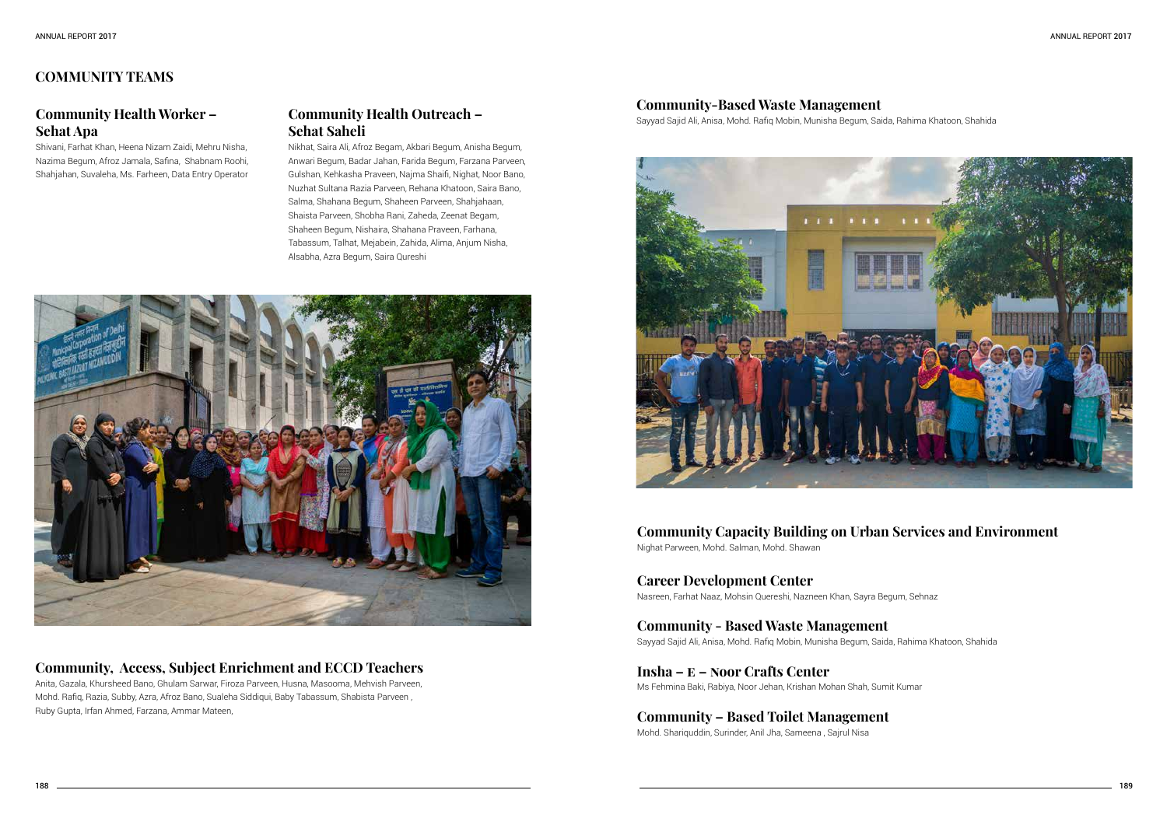## **COMMUNITY TEAMS**

#### **Community Health Worker – Sehat Apa**

Shivani, Farhat Khan, Heena Nizam Zaidi, Mehru Nisha, Nazima Begum, Afroz Jamala, Safina, Shabnam Roohi, Shahjahan, Suvaleha, Ms. Farheen, Data Entry Operator

#### **Community Health Outreach – Sehat Saheli**

Nikhat, Saira Ali, Afroz Begam, Akbari Begum, Anisha Begum, Anwari Begum, Badar Jahan, Farida Begum, Farzana Parveen, Gulshan, Kehkasha Praveen, Najma Shaifi, Nighat, Noor Bano, Nuzhat Sultana Razia Parveen, Rehana Khatoon, Saira Bano, Salma, Shahana Begum, Shaheen Parveen, Shahjahaan, Shaista Parveen, Shobha Rani, Zaheda, Zeenat Begam, Shaheen Begum, Nishaira, Shahana Praveen, Farhana, Tabassum, Talhat, Mejabein, Zahida, Alima, Anjum Nisha, Alsabha, Azra Begum, Saira Qureshi



#### **Community, Access, Subject Enrichment and ECCD Teachers**

Anita, Gazala, Khursheed Bano, Ghulam Sarwar, Firoza Parveen, Husna, Masooma, Mehvish Parveen, Mohd. Rafiq, Razia, Subby, Azra, Afroz Bano, Sualeha Siddiqui, Baby Tabassum, Shabista Parveen , Ruby Gupta, Irfan Ahmed, Farzana, Ammar Mateen,

#### **Community-Based Waste Management**

Sayyad Sajid Ali, Anisa, Mohd. Rafiq Mobin, Munisha Begum, Saida, Rahima Khatoon, Shahida



#### **Community Capacity Building on Urban Services and Environment** Nighat Parween, Mohd. Salman, Mohd. Shawan

**Career Development Center** Nasreen, Farhat Naaz, Mohsin Quereshi, Nazneen Khan, Sayra Begum, Sehnaz

**Community - Based Waste Management** Sayyad Sajid Ali, Anisa, Mohd. Rafiq Mobin, Munisha Begum, Saida, Rahima Khatoon, Shahida

**Insha – E – Noor Crafts Center**  Ms Fehmina Baki, Rabiya, Noor Jehan, Krishan Mohan Shah, Sumit Kumar

**Community – Based Toilet Management** 

Mohd. Shariquddin, Surinder, Anil Jha, Sameena , Sajrul Nisa